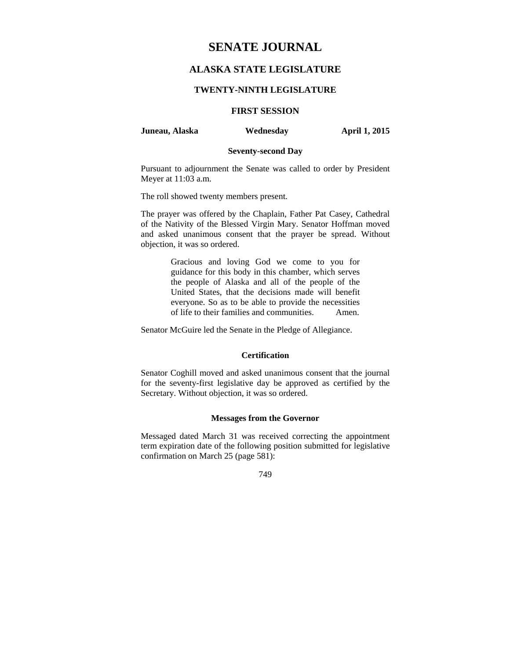# **SENATE JOURNAL**

## **ALASKA STATE LEGISLATURE**

#### **TWENTY-NINTH LEGISLATURE**

### **FIRST SESSION**

#### **Juneau, Alaska Wednesday April 1, 2015**

### **Seventy-second Day**

Pursuant to adjournment the Senate was called to order by President Meyer at 11:03 a.m.

The roll showed twenty members present.

The prayer was offered by the Chaplain, Father Pat Casey, Cathedral of the Nativity of the Blessed Virgin Mary. Senator Hoffman moved and asked unanimous consent that the prayer be spread. Without objection, it was so ordered.

> Gracious and loving God we come to you for guidance for this body in this chamber, which serves the people of Alaska and all of the people of the United States, that the decisions made will benefit everyone. So as to be able to provide the necessities of life to their families and communities. Amen.

Senator McGuire led the Senate in the Pledge of Allegiance.

### **Certification**

Senator Coghill moved and asked unanimous consent that the journal for the seventy-first legislative day be approved as certified by the Secretary. Without objection, it was so ordered.

#### **Messages from the Governor**

Messaged dated March 31 was received correcting the appointment term expiration date of the following position submitted for legislative confirmation on March 25 (page 581):

749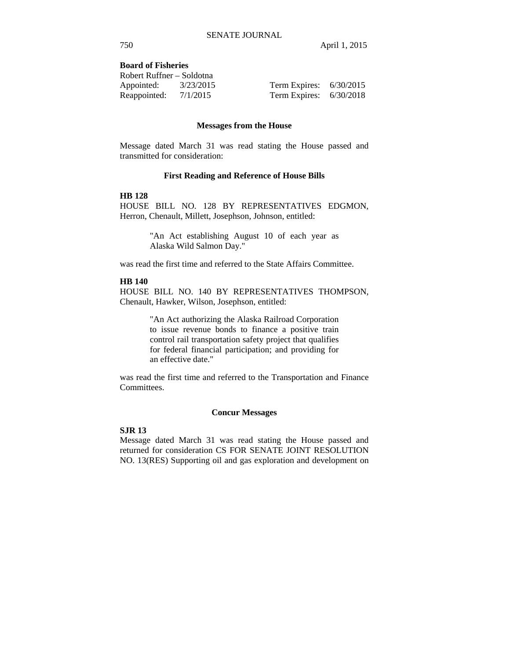### **Board of Fisheries**

| Robert Ruffner – Soldotna |           |                           |  |
|---------------------------|-----------|---------------------------|--|
| Appointed:                | 3/23/2015 | Term Expires: $6/30/2015$ |  |
| Reappointed: $7/1/2015$   |           | Term Expires: $6/30/2018$ |  |

#### **Messages from the House**

Message dated March 31 was read stating the House passed and transmitted for consideration:

#### **First Reading and Reference of House Bills**

#### **HB 128**

HOUSE BILL NO. 128 BY REPRESENTATIVES EDGMON, Herron, Chenault, Millett, Josephson, Johnson, entitled:

> "An Act establishing August 10 of each year as Alaska Wild Salmon Day."

was read the first time and referred to the State Affairs Committee.

### **HB 140**

HOUSE BILL NO. 140 BY REPRESENTATIVES THOMPSON, Chenault, Hawker, Wilson, Josephson, entitled:

> "An Act authorizing the Alaska Railroad Corporation to issue revenue bonds to finance a positive train control rail transportation safety project that qualifies for federal financial participation; and providing for an effective date."

was read the first time and referred to the Transportation and Finance Committees.

#### **Concur Messages**

## **SJR 13**

Message dated March 31 was read stating the House passed and returned for consideration CS FOR SENATE JOINT RESOLUTION NO. 13(RES) Supporting oil and gas exploration and development on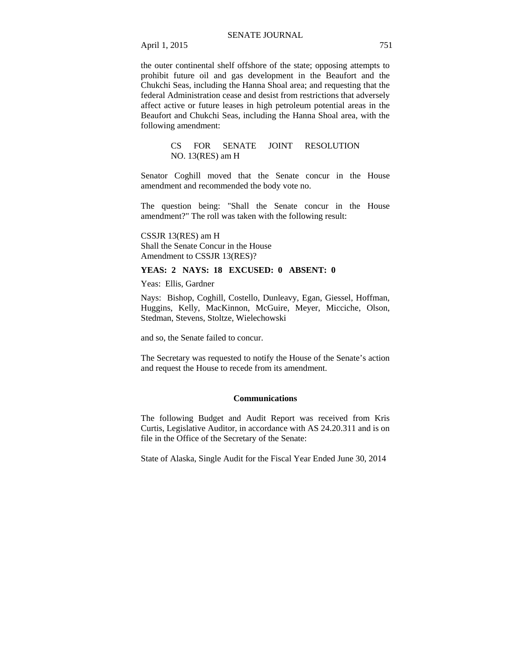the outer continental shelf offshore of the state; opposing attempts to prohibit future oil and gas development in the Beaufort and the Chukchi Seas, including the Hanna Shoal area; and requesting that the federal Administration cease and desist from restrictions that adversely affect active or future leases in high petroleum potential areas in the Beaufort and Chukchi Seas, including the Hanna Shoal area, with the following amendment:

> CS FOR SENATE JOINT RESOLUTION NO. 13(RES) am H

Senator Coghill moved that the Senate concur in the House amendment and recommended the body vote no.

The question being: "Shall the Senate concur in the House amendment?" The roll was taken with the following result:

CSSJR 13(RES) am H Shall the Senate Concur in the House Amendment to CSSJR 13(RES)?

#### **YEAS: 2 NAYS: 18 EXCUSED: 0 ABSENT: 0**

Yeas: Ellis, Gardner

Nays: Bishop, Coghill, Costello, Dunleavy, Egan, Giessel, Hoffman, Huggins, Kelly, MacKinnon, McGuire, Meyer, Micciche, Olson, Stedman, Stevens, Stoltze, Wielechowski

and so, the Senate failed to concur.

The Secretary was requested to notify the House of the Senate's action and request the House to recede from its amendment.

#### **Communications**

The following Budget and Audit Report was received from Kris Curtis, Legislative Auditor, in accordance with AS 24.20.311 and is on file in the Office of the Secretary of the Senate:

State of Alaska, Single Audit for the Fiscal Year Ended June 30, 2014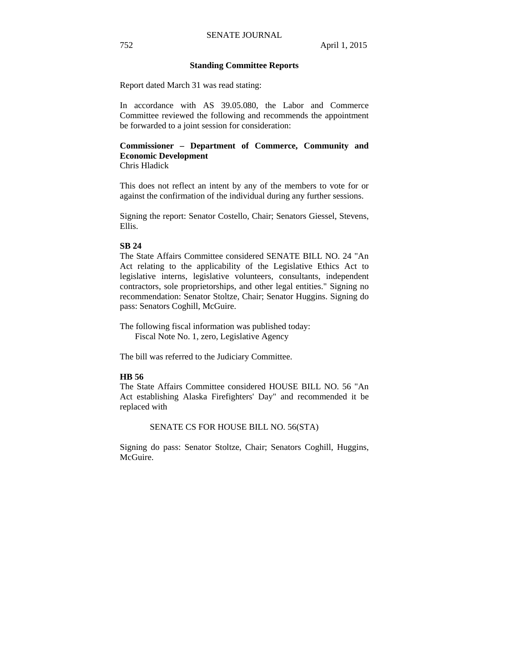#### **Standing Committee Reports**

Report dated March 31 was read stating:

In accordance with AS 39.05.080, the Labor and Commerce Committee reviewed the following and recommends the appointment be forwarded to a joint session for consideration:

# **Commissioner – Department of Commerce, Community and Economic Development**

Chris Hladick

This does not reflect an intent by any of the members to vote for or against the confirmation of the individual during any further sessions.

Signing the report: Senator Costello, Chair; Senators Giessel, Stevens, Ellis.

#### **SB 24**

The State Affairs Committee considered SENATE BILL NO. 24 "An Act relating to the applicability of the Legislative Ethics Act to legislative interns, legislative volunteers, consultants, independent contractors, sole proprietorships, and other legal entities." Signing no recommendation: Senator Stoltze, Chair; Senator Huggins. Signing do pass: Senators Coghill, McGuire.

The following fiscal information was published today: Fiscal Note No. 1, zero, Legislative Agency

The bill was referred to the Judiciary Committee.

### **HB 56**

The State Affairs Committee considered HOUSE BILL NO. 56 "An Act establishing Alaska Firefighters' Day" and recommended it be replaced with

#### SENATE CS FOR HOUSE BILL NO. 56(STA)

Signing do pass: Senator Stoltze, Chair; Senators Coghill, Huggins, McGuire.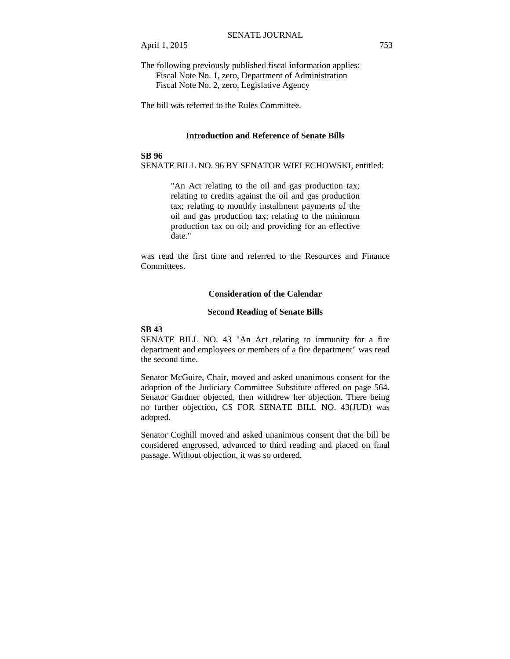The following previously published fiscal information applies: Fiscal Note No. 1, zero, Department of Administration Fiscal Note No. 2, zero, Legislative Agency

The bill was referred to the Rules Committee.

#### **Introduction and Reference of Senate Bills**

#### **SB 96**

SENATE BILL NO. 96 BY SENATOR WIELECHOWSKI, entitled:

"An Act relating to the oil and gas production tax; relating to credits against the oil and gas production tax; relating to monthly installment payments of the oil and gas production tax; relating to the minimum production tax on oil; and providing for an effective date."

was read the first time and referred to the Resources and Finance Committees.

#### **Consideration of the Calendar**

#### **Second Reading of Senate Bills**

#### **SB 43**

SENATE BILL NO. 43 "An Act relating to immunity for a fire department and employees or members of a fire department" was read the second time.

Senator McGuire, Chair, moved and asked unanimous consent for the adoption of the Judiciary Committee Substitute offered on page 564. Senator Gardner objected, then withdrew her objection. There being no further objection, CS FOR SENATE BILL NO. 43(JUD) was adopted.

Senator Coghill moved and asked unanimous consent that the bill be considered engrossed, advanced to third reading and placed on final passage. Without objection, it was so ordered.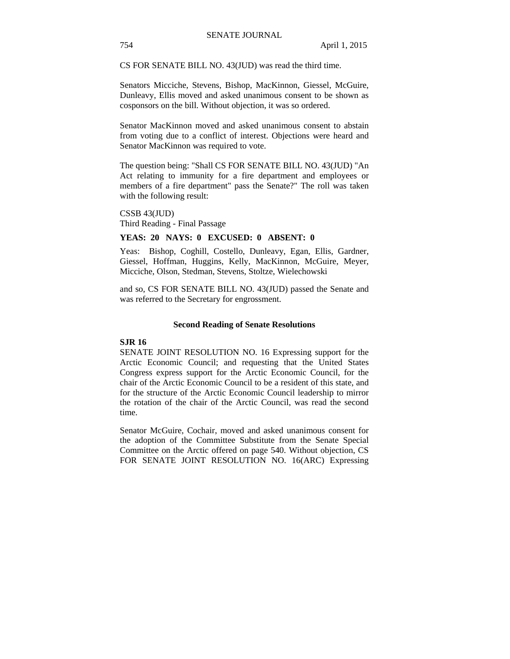CS FOR SENATE BILL NO. 43(JUD) was read the third time.

Senators Micciche, Stevens, Bishop, MacKinnon, Giessel, McGuire, Dunleavy, Ellis moved and asked unanimous consent to be shown as cosponsors on the bill. Without objection, it was so ordered.

Senator MacKinnon moved and asked unanimous consent to abstain from voting due to a conflict of interest. Objections were heard and Senator MacKinnon was required to vote.

The question being: "Shall CS FOR SENATE BILL NO. 43(JUD) "An Act relating to immunity for a fire department and employees or members of a fire department" pass the Senate?" The roll was taken with the following result:

CSSB 43(JUD) Third Reading - Final Passage

#### **YEAS: 20 NAYS: 0 EXCUSED: 0 ABSENT: 0**

Yeas: Bishop, Coghill, Costello, Dunleavy, Egan, Ellis, Gardner, Giessel, Hoffman, Huggins, Kelly, MacKinnon, McGuire, Meyer, Micciche, Olson, Stedman, Stevens, Stoltze, Wielechowski

and so, CS FOR SENATE BILL NO. 43(JUD) passed the Senate and was referred to the Secretary for engrossment.

#### **Second Reading of Senate Resolutions**

#### **SJR 16**

SENATE JOINT RESOLUTION NO. 16 Expressing support for the Arctic Economic Council; and requesting that the United States Congress express support for the Arctic Economic Council, for the chair of the Arctic Economic Council to be a resident of this state, and for the structure of the Arctic Economic Council leadership to mirror the rotation of the chair of the Arctic Council, was read the second time.

Senator McGuire, Cochair, moved and asked unanimous consent for the adoption of the Committee Substitute from the Senate Special Committee on the Arctic offered on page 540. Without objection, CS FOR SENATE JOINT RESOLUTION NO. 16(ARC) Expressing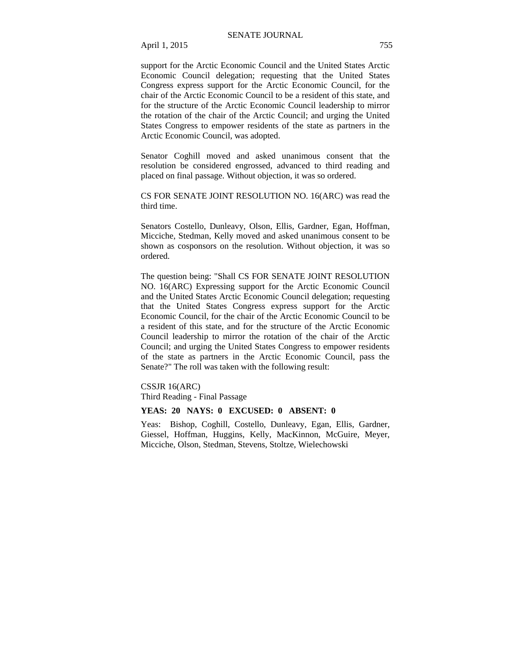support for the Arctic Economic Council and the United States Arctic Economic Council delegation; requesting that the United States Congress express support for the Arctic Economic Council, for the chair of the Arctic Economic Council to be a resident of this state, and for the structure of the Arctic Economic Council leadership to mirror the rotation of the chair of the Arctic Council; and urging the United States Congress to empower residents of the state as partners in the Arctic Economic Council, was adopted.

Senator Coghill moved and asked unanimous consent that the resolution be considered engrossed, advanced to third reading and placed on final passage. Without objection, it was so ordered.

CS FOR SENATE JOINT RESOLUTION NO. 16(ARC) was read the third time.

Senators Costello, Dunleavy, Olson, Ellis, Gardner, Egan, Hoffman, Micciche, Stedman, Kelly moved and asked unanimous consent to be shown as cosponsors on the resolution. Without objection, it was so ordered.

The question being: "Shall CS FOR SENATE JOINT RESOLUTION NO. 16(ARC) Expressing support for the Arctic Economic Council and the United States Arctic Economic Council delegation; requesting that the United States Congress express support for the Arctic Economic Council, for the chair of the Arctic Economic Council to be a resident of this state, and for the structure of the Arctic Economic Council leadership to mirror the rotation of the chair of the Arctic Council; and urging the United States Congress to empower residents of the state as partners in the Arctic Economic Council, pass the Senate?" The roll was taken with the following result:

CSSJR 16(ARC)

Third Reading - Final Passage

#### **YEAS: 20 NAYS: 0 EXCUSED: 0 ABSENT: 0**

Yeas: Bishop, Coghill, Costello, Dunleavy, Egan, Ellis, Gardner, Giessel, Hoffman, Huggins, Kelly, MacKinnon, McGuire, Meyer, Micciche, Olson, Stedman, Stevens, Stoltze, Wielechowski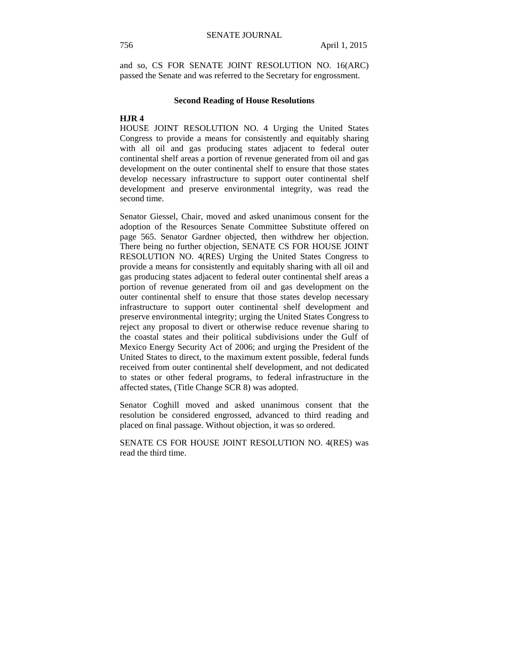and so, CS FOR SENATE JOINT RESOLUTION NO. 16(ARC) passed the Senate and was referred to the Secretary for engrossment.

#### **Second Reading of House Resolutions**

#### **HJR 4**

HOUSE JOINT RESOLUTION NO. 4 Urging the United States Congress to provide a means for consistently and equitably sharing with all oil and gas producing states adjacent to federal outer continental shelf areas a portion of revenue generated from oil and gas development on the outer continental shelf to ensure that those states develop necessary infrastructure to support outer continental shelf development and preserve environmental integrity, was read the second time.

Senator Giessel, Chair, moved and asked unanimous consent for the adoption of the Resources Senate Committee Substitute offered on page 565. Senator Gardner objected, then withdrew her objection. There being no further objection, SENATE CS FOR HOUSE JOINT RESOLUTION NO. 4(RES) Urging the United States Congress to provide a means for consistently and equitably sharing with all oil and gas producing states adjacent to federal outer continental shelf areas a portion of revenue generated from oil and gas development on the outer continental shelf to ensure that those states develop necessary infrastructure to support outer continental shelf development and preserve environmental integrity; urging the United States Congress to reject any proposal to divert or otherwise reduce revenue sharing to the coastal states and their political subdivisions under the Gulf of Mexico Energy Security Act of 2006; and urging the President of the United States to direct, to the maximum extent possible, federal funds received from outer continental shelf development, and not dedicated to states or other federal programs, to federal infrastructure in the affected states, (Title Change SCR 8) was adopted.

Senator Coghill moved and asked unanimous consent that the resolution be considered engrossed, advanced to third reading and placed on final passage. Without objection, it was so ordered.

SENATE CS FOR HOUSE JOINT RESOLUTION NO. 4(RES) was read the third time.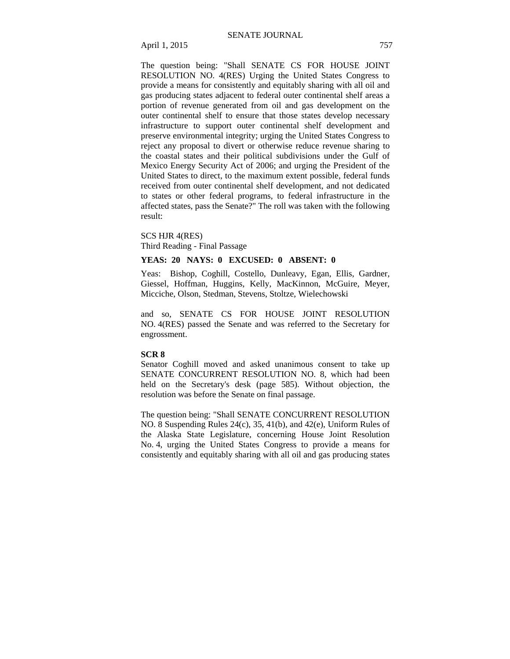The question being: "Shall SENATE CS FOR HOUSE JOINT RESOLUTION NO. 4(RES) Urging the United States Congress to provide a means for consistently and equitably sharing with all oil and gas producing states adjacent to federal outer continental shelf areas a portion of revenue generated from oil and gas development on the outer continental shelf to ensure that those states develop necessary infrastructure to support outer continental shelf development and preserve environmental integrity; urging the United States Congress to reject any proposal to divert or otherwise reduce revenue sharing to the coastal states and their political subdivisions under the Gulf of Mexico Energy Security Act of 2006; and urging the President of the United States to direct, to the maximum extent possible, federal funds received from outer continental shelf development, and not dedicated to states or other federal programs, to federal infrastructure in the affected states, pass the Senate?" The roll was taken with the following result:

SCS HJR 4(RES)

Third Reading - Final Passage

#### **YEAS: 20 NAYS: 0 EXCUSED: 0 ABSENT: 0**

Yeas: Bishop, Coghill, Costello, Dunleavy, Egan, Ellis, Gardner, Giessel, Hoffman, Huggins, Kelly, MacKinnon, McGuire, Meyer, Micciche, Olson, Stedman, Stevens, Stoltze, Wielechowski

and so, SENATE CS FOR HOUSE JOINT RESOLUTION NO. 4(RES) passed the Senate and was referred to the Secretary for engrossment.

#### **SCR 8**

Senator Coghill moved and asked unanimous consent to take up SENATE CONCURRENT RESOLUTION NO. 8, which had been held on the Secretary's desk (page 585). Without objection, the resolution was before the Senate on final passage.

The question being: "Shall SENATE CONCURRENT RESOLUTION NO. 8 Suspending Rules 24(c), 35, 41(b), and 42(e), Uniform Rules of the Alaska State Legislature, concerning House Joint Resolution No. 4, urging the United States Congress to provide a means for consistently and equitably sharing with all oil and gas producing states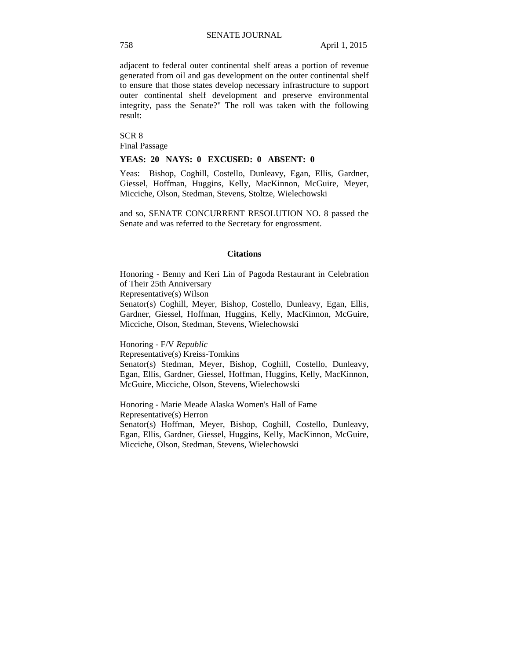adjacent to federal outer continental shelf areas a portion of revenue generated from oil and gas development on the outer continental shelf to ensure that those states develop necessary infrastructure to support outer continental shelf development and preserve environmental integrity, pass the Senate?" The roll was taken with the following result:

SCR 8 Final Passage

#### **YEAS: 20 NAYS: 0 EXCUSED: 0 ABSENT: 0**

Yeas: Bishop, Coghill, Costello, Dunleavy, Egan, Ellis, Gardner, Giessel, Hoffman, Huggins, Kelly, MacKinnon, McGuire, Meyer, Micciche, Olson, Stedman, Stevens, Stoltze, Wielechowski

and so, SENATE CONCURRENT RESOLUTION NO. 8 passed the Senate and was referred to the Secretary for engrossment.

#### **Citations**

Honoring - Benny and Keri Lin of Pagoda Restaurant in Celebration of Their 25th Anniversary Representative(s) Wilson Senator(s) Coghill, Meyer, Bishop, Costello, Dunleavy, Egan, Ellis, Gardner, Giessel, Hoffman, Huggins, Kelly, MacKinnon, McGuire, Micciche, Olson, Stedman, Stevens, Wielechowski

Honoring - F/V *Republic* Representative(s) Kreiss-Tomkins Senator(s) Stedman, Meyer, Bishop, Coghill, Costello, Dunleavy, Egan, Ellis, Gardner, Giessel, Hoffman, Huggins, Kelly, MacKinnon, McGuire, Micciche, Olson, Stevens, Wielechowski

Honoring - Marie Meade Alaska Women's Hall of Fame Representative(s) Herron Senator(s) Hoffman, Meyer, Bishop, Coghill, Costello, Dunleavy, Egan, Ellis, Gardner, Giessel, Huggins, Kelly, MacKinnon, McGuire, Micciche, Olson, Stedman, Stevens, Wielechowski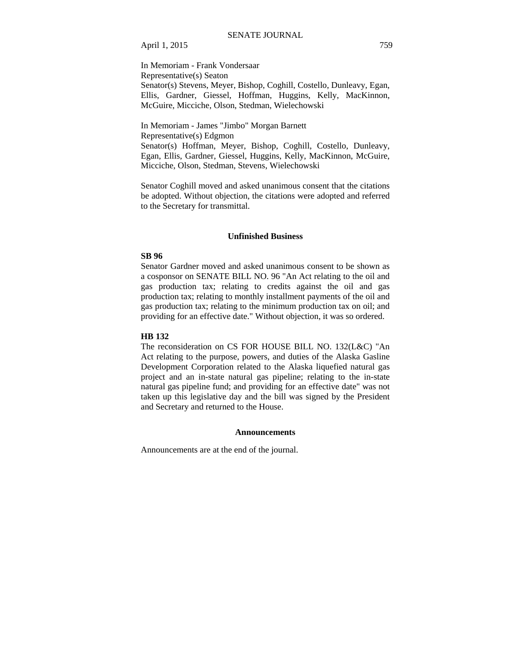In Memoriam - Frank Vondersaar Representative(s) Seaton Senator(s) Stevens, Meyer, Bishop, Coghill, Costello, Dunleavy, Egan, Ellis, Gardner, Giessel, Hoffman, Huggins, Kelly, MacKinnon, McGuire, Micciche, Olson, Stedman, Wielechowski

In Memoriam - James "Jimbo" Morgan Barnett Representative(s) Edgmon Senator(s) Hoffman, Meyer, Bishop, Coghill, Costello, Dunleavy, Egan, Ellis, Gardner, Giessel, Huggins, Kelly, MacKinnon, McGuire, Micciche, Olson, Stedman, Stevens, Wielechowski

Senator Coghill moved and asked unanimous consent that the citations be adopted. Without objection, the citations were adopted and referred to the Secretary for transmittal.

#### **Unfinished Business**

### **SB 96**

Senator Gardner moved and asked unanimous consent to be shown as a cosponsor on SENATE BILL NO. 96 "An Act relating to the oil and gas production tax; relating to credits against the oil and gas production tax; relating to monthly installment payments of the oil and gas production tax; relating to the minimum production tax on oil; and providing for an effective date." Without objection, it was so ordered.

#### **HB 132**

The reconsideration on CS FOR HOUSE BILL NO. 132(L&C) "An Act relating to the purpose, powers, and duties of the Alaska Gasline Development Corporation related to the Alaska liquefied natural gas project and an in-state natural gas pipeline; relating to the in-state natural gas pipeline fund; and providing for an effective date" was not taken up this legislative day and the bill was signed by the President and Secretary and returned to the House.

#### **Announcements**

Announcements are at the end of the journal.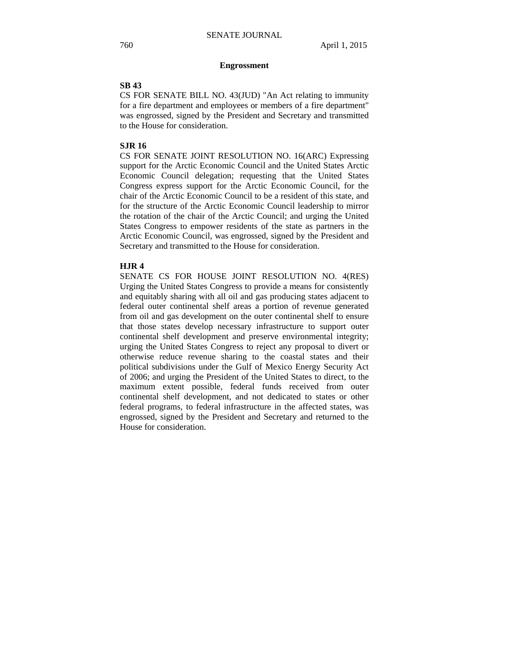#### **Engrossment**

#### **SB 43**

CS FOR SENATE BILL NO. 43(JUD) "An Act relating to immunity for a fire department and employees or members of a fire department" was engrossed, signed by the President and Secretary and transmitted to the House for consideration.

#### **SJR 16**

CS FOR SENATE JOINT RESOLUTION NO. 16(ARC) Expressing support for the Arctic Economic Council and the United States Arctic Economic Council delegation; requesting that the United States Congress express support for the Arctic Economic Council, for the chair of the Arctic Economic Council to be a resident of this state, and for the structure of the Arctic Economic Council leadership to mirror the rotation of the chair of the Arctic Council; and urging the United States Congress to empower residents of the state as partners in the Arctic Economic Council, was engrossed, signed by the President and Secretary and transmitted to the House for consideration.

#### **HJR 4**

SENATE CS FOR HOUSE JOINT RESOLUTION NO. 4(RES) Urging the United States Congress to provide a means for consistently and equitably sharing with all oil and gas producing states adjacent to federal outer continental shelf areas a portion of revenue generated from oil and gas development on the outer continental shelf to ensure that those states develop necessary infrastructure to support outer continental shelf development and preserve environmental integrity; urging the United States Congress to reject any proposal to divert or otherwise reduce revenue sharing to the coastal states and their political subdivisions under the Gulf of Mexico Energy Security Act of 2006; and urging the President of the United States to direct, to the maximum extent possible, federal funds received from outer continental shelf development, and not dedicated to states or other federal programs, to federal infrastructure in the affected states, was engrossed, signed by the President and Secretary and returned to the House for consideration.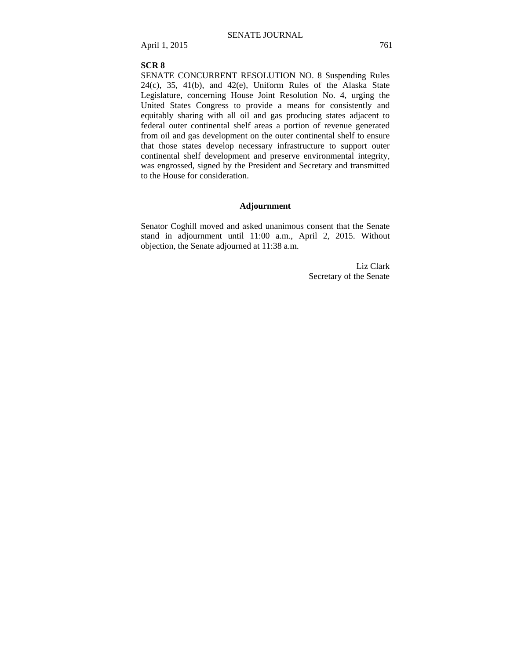#### **SCR 8**

SENATE CONCURRENT RESOLUTION NO. 8 Suspending Rules  $24(c)$ ,  $35$ ,  $41(b)$ , and  $42(e)$ , Uniform Rules of the Alaska State Legislature, concerning House Joint Resolution No. 4, urging the United States Congress to provide a means for consistently and equitably sharing with all oil and gas producing states adjacent to federal outer continental shelf areas a portion of revenue generated from oil and gas development on the outer continental shelf to ensure that those states develop necessary infrastructure to support outer continental shelf development and preserve environmental integrity, was engrossed, signed by the President and Secretary and transmitted to the House for consideration.

#### **Adjournment**

Senator Coghill moved and asked unanimous consent that the Senate stand in adjournment until 11:00 a.m., April 2, 2015. Without objection, the Senate adjourned at 11:38 a.m.

> Liz Clark Secretary of the Senate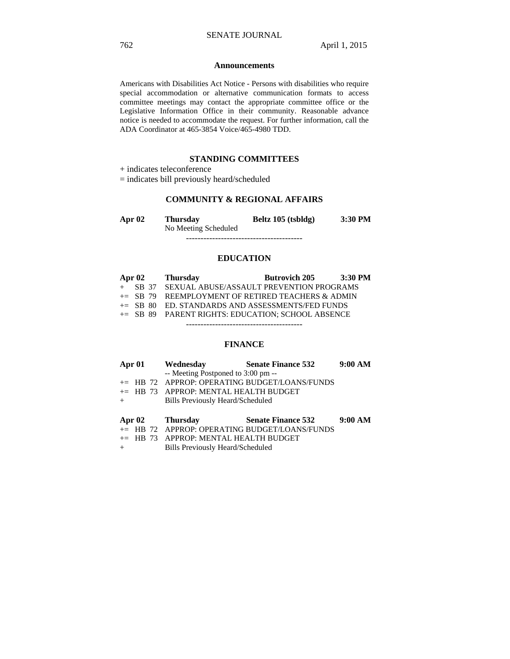#### **Announcements**

Americans with Disabilities Act Notice - Persons with disabilities who require special accommodation or alternative communication formats to access committee meetings may contact the appropriate committee office or the Legislative Information Office in their community. Reasonable advance notice is needed to accommodate the request. For further information, call the ADA Coordinator at 465-3854 Voice/465-4980 TDD.

### **STANDING COMMITTEES**

+ indicates teleconference

= indicates bill previously heard/scheduled

## **COMMUNITY & REGIONAL AFFAIRS**

| Apr $02$ | <b>Thursday</b>      | Beltz 105 (tsbldg) | 3:30 PM |
|----------|----------------------|--------------------|---------|
|          | No Meeting Scheduled |                    |         |
|          |                      |                    |         |

#### **EDUCATION**

| Apr $02$ | <b>Thursday</b>                                      | <b>Butrovich 205</b> | $3:30$ PM |
|----------|------------------------------------------------------|----------------------|-----------|
|          | + SB 37 SEXUAL ABUSE/ASSAULT PREVENTION PROGRAMS     |                      |           |
|          | $+=$ SB 79 REEMPLOYMENT OF RETIRED TEACHERS & ADMIN  |                      |           |
|          | $\pm$ SB 80 ED. STANDARDS AND ASSESSMENTS/FED FUNDS  |                      |           |
|          | $\pm$ SB 89 PARENT RIGHTS: EDUCATION: SCHOOL ABSENCE |                      |           |

----------------------------------------

## **FINANCE**

|     |  | Apr 01 Wednesday Senate Finance 532     |                                               | 9:00 AM |
|-----|--|-----------------------------------------|-----------------------------------------------|---------|
|     |  | -- Meeting Postponed to 3:00 pm --      |                                               |         |
|     |  |                                         | += HB 72 APPROP: OPERATING BUDGET/LOANS/FUNDS |         |
|     |  | $+=$ HB 73 APPROP: MENTAL HEALTH BUDGET |                                               |         |
| $+$ |  | Bills Previously Heard/Scheduled        |                                               |         |
|     |  | Apr 02 Thursday                         | <b>Senate Finance 532</b>                     | 9:00 AM |
|     |  |                                         | += HB 72 APPROP: OPERATING BUDGET/LOANS/FUNDS |         |
|     |  | $\ldots$                                |                                               |         |

- += HB 73 APPROP: MENTAL HEALTH BUDGET
- + Bills Previously Heard/Scheduled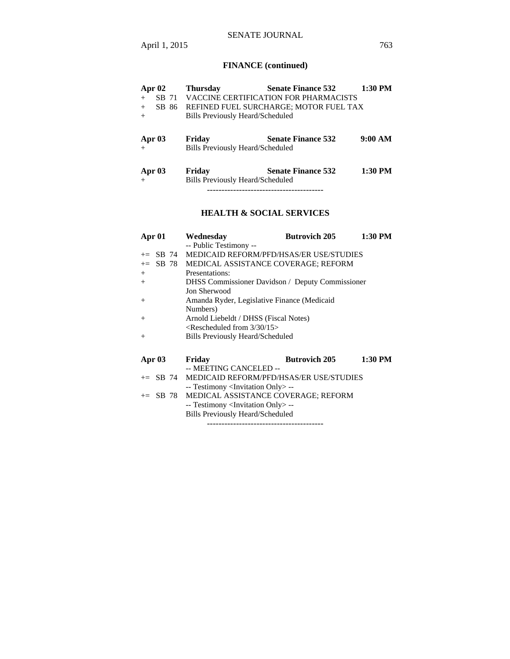# SENATE JOURNAL

# **FINANCE (continued)**

| Apr $02$      | <b>Thursday</b>                         | <b>Senate Finance 532</b>              | $1:30$ PM |
|---------------|-----------------------------------------|----------------------------------------|-----------|
| SB 71<br>$+$  |                                         | VACCINE CERTIFICATION FOR PHARMACISTS  |           |
| SB 86<br>$+$  |                                         | REFINED FUEL SURCHARGE; MOTOR FUEL TAX |           |
| $+$           | <b>Bills Previously Heard/Scheduled</b> |                                        |           |
|               |                                         |                                        |           |
| Apr $03$      | Friday                                  | <b>Senate Finance 532</b>              | 9:00 AM   |
| $+$           | <b>Bills Previously Heard/Scheduled</b> |                                        |           |
|               |                                         |                                        |           |
| <b>Apr 03</b> | Friday                                  | <b>Senate Finance 532</b>              | 1:30 PM   |
| $+$           | <b>Bills Previously Heard/Scheduled</b> |                                        |           |
|               |                                         | ---------------------------------      |           |

# **HEALTH & SOCIAL SERVICES**

| Apr $01$      | <b>Butrovich 205</b><br>1:30 PM<br>Wednesday            |  |
|---------------|---------------------------------------------------------|--|
|               | -- Public Testimony --                                  |  |
| SB 74<br>$+=$ | MEDICAID REFORM/PFD/HSAS/ER USE/STUDIES                 |  |
| SB 78<br>$+=$ | MEDICAL ASSISTANCE COVERAGE; REFORM                     |  |
| $+$           | Presentations:                                          |  |
| $+$           | <b>DHSS</b> Commissioner Davidson / Deputy Commissioner |  |
|               | <b>Jon Sherwood</b>                                     |  |
| $^{+}$        | Amanda Ryder, Legislative Finance (Medicaid             |  |
|               | Numbers)                                                |  |
| $^{+}$        | Arnold Liebeldt / DHSS (Fiscal Notes)                   |  |
|               | $\leq$ Rescheduled from 3/30/15 $>$                     |  |
| $^{+}$        | <b>Bills Previously Heard/Scheduled</b>                 |  |
|               |                                                         |  |
| Apr $03$      | 1:30 PM<br><b>Butrovich 205</b><br>Friday               |  |
|               | -- MEETING CANCELED --                                  |  |
| $+=$ SB 74    | MEDICAID REFORM/PFD/HSAS/ER USE/STUDIES                 |  |
|               | -- Testimony <invitation only=""> --</invitation>       |  |
| $+=$ SB 78    | MEDICAL ASSISTANCE COVERAGE; REFORM                     |  |
|               | -- Testimony <invitation only=""> --</invitation>       |  |
|               | <b>Bills Previously Heard/Scheduled</b>                 |  |
|               |                                                         |  |

----------------------------------------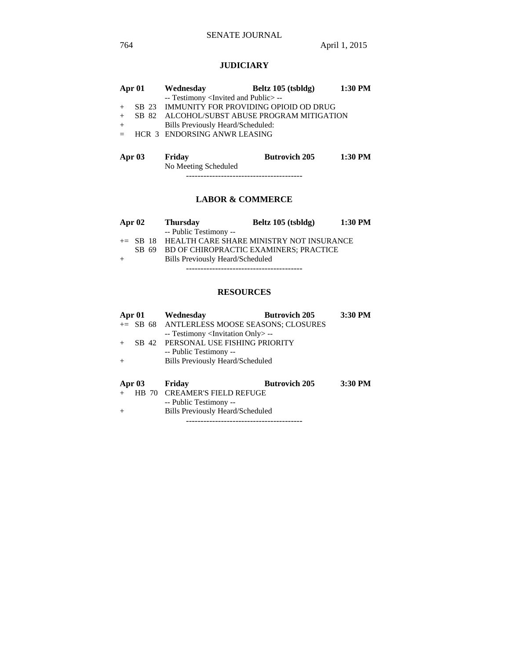## **JUDICIARY**

|     | Apr 01 Wednesday                                    | Beltz 105 (tsbldg)                             | 1:30 PM |
|-----|-----------------------------------------------------|------------------------------------------------|---------|
|     | -- Testimony <invited and="" public="">--</invited> |                                                |         |
|     |                                                     | + SB 23 IMMUNITY FOR PROVIDING OPIOID OD DRUG  |         |
|     |                                                     | + SB 82 ALCOHOL/SUBST ABUSE PROGRAM MITIGATION |         |
| $+$ | Bills Previously Heard/Scheduled:                   |                                                |         |
|     | $=$ HCR 3 ENDORSING ANWR LEASING                    |                                                |         |
|     |                                                     |                                                |         |
|     |                                                     |                                                |         |

| Apr 03 | Friday               | <b>Butrovich 205</b> | 1:30 PM |  |
|--------|----------------------|----------------------|---------|--|
|        | No Meeting Scheduled |                      |         |  |
|        |                      |                      |         |  |

## **LABOR & COMMERCE**

|     | Apr $02$ | <b>Thursday</b>                                   | Beltz 105 (tsbldg) | 1:30 PM |
|-----|----------|---------------------------------------------------|--------------------|---------|
|     |          | -- Public Testimony --                            |                    |         |
|     |          | += SB 18 HEALTH CARE SHARE MINISTRY NOT INSURANCE |                    |         |
|     | SB 69    | BD OF CHIROPRACTIC EXAMINERS: PRACTICE            |                    |         |
| $+$ |          | Bills Previously Heard/Scheduled                  |                    |         |
|     |          |                                                   |                    |         |

# **RESOURCES**

| Apr 01   | Wednesday                                         | <b>Butrovich 205</b> | 3:30 PM |
|----------|---------------------------------------------------|----------------------|---------|
|          | += SB 68 ANTLERLESS MOOSE SEASONS; CLOSURES       |                      |         |
|          | -- Testimony <invitation only=""> --</invitation> |                      |         |
|          | SB 42 PERSONAL USE FISHING PRIORITY               |                      |         |
|          | -- Public Testimony --                            |                      |         |
| $+$      | <b>Bills Previously Heard/Scheduled</b>           |                      |         |
|          |                                                   |                      |         |
| Apr $03$ | Friday                                            | <b>Butrovich 205</b> | 3:30 PM |
|          | HB 70 CREAMER'S FIELD REFUGE                      |                      |         |
|          | -- Public Testimony --                            |                      |         |
|          |                                                   |                      |         |
| $+$      | <b>Bills Previously Heard/Scheduled</b>           |                      |         |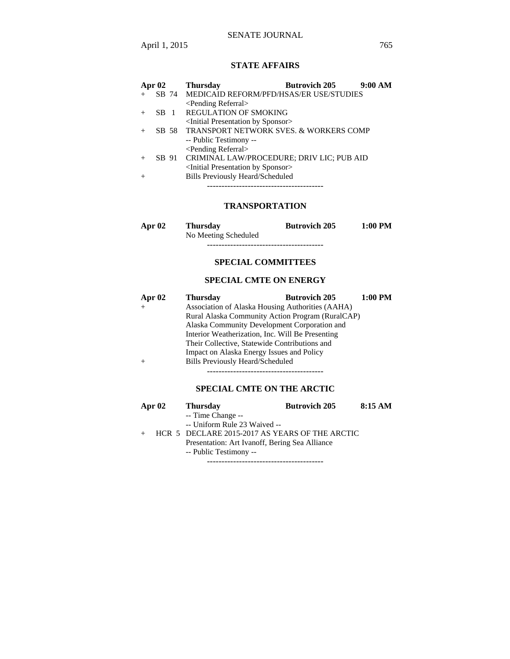## SENATE JOURNAL

April 1, 2015 765

### **STATE AFFAIRS**

| Apr $02$ | <b>Butrovich 205</b><br>9:00 AM<br><b>Thursday</b>   |
|----------|------------------------------------------------------|
|          | SB 74 MEDICAID REFORM/PFD/HSAS/ER USE/STUDIES        |
|          | <pending referral=""></pending>                      |
| $SB$ 1   | <b>REGULATION OF SMOKING</b>                         |
|          | <initial by="" presentation="" sponsor=""></initial> |
|          | SB 58 TRANSPORT NETWORK SVES. & WORKERS COMP         |
|          | -- Public Testimony --                               |
|          | <pending referral=""></pending>                      |
|          | SB 91 CRIMINAL LAW/PROCEDURE; DRIV LIC; PUB AID      |
|          | <initial by="" presentation="" sponsor=""></initial> |
|          | <b>Bills Previously Heard/Scheduled</b>              |
|          |                                                      |

----------------------------------------

## **TRANSPORTATION**

| Apr 02 | <b>Thursday</b>      | <b>Butrovich 205</b> | $1:00$ PM |
|--------|----------------------|----------------------|-----------|
|        | No Meeting Scheduled |                      |           |
|        |                      |                      |           |

## **SPECIAL COMMITTEES**

## **SPECIAL CMTE ON ENERGY**

| Apr $02$ | <b>Thursday</b>                                  | <b>Butrovich 205</b> | $1:00$ PM |  |  |
|----------|--------------------------------------------------|----------------------|-----------|--|--|
|          | Association of Alaska Housing Authorities (AAHA) |                      |           |  |  |
|          | Rural Alaska Community Action Program (RuralCAP) |                      |           |  |  |
|          | Alaska Community Development Corporation and     |                      |           |  |  |
|          | Interior Weatherization, Inc. Will Be Presenting |                      |           |  |  |
|          | Their Collective, Statewide Contributions and    |                      |           |  |  |
|          | Impact on Alaska Energy Issues and Policy        |                      |           |  |  |
|          | <b>Bills Previously Heard/Scheduled</b>          |                      |           |  |  |
|          |                                                  |                      |           |  |  |

## **SPECIAL CMTE ON THE ARCTIC**

|     | Apr $02$ | <b>Thursday</b>                                | <b>Butrovich 205</b> | 8:15 AM |
|-----|----------|------------------------------------------------|----------------------|---------|
|     |          | -- Time Change --                              |                      |         |
|     |          | -- Uniform Rule 23 Waived --                   |                      |         |
| $+$ |          | HCR 5 DECLARE 2015-2017 AS YEARS OF THE ARCTIC |                      |         |
|     |          | Presentation: Art Ivanoff, Bering Sea Alliance |                      |         |
|     |          | -- Public Testimony --                         |                      |         |

----------------------------------------